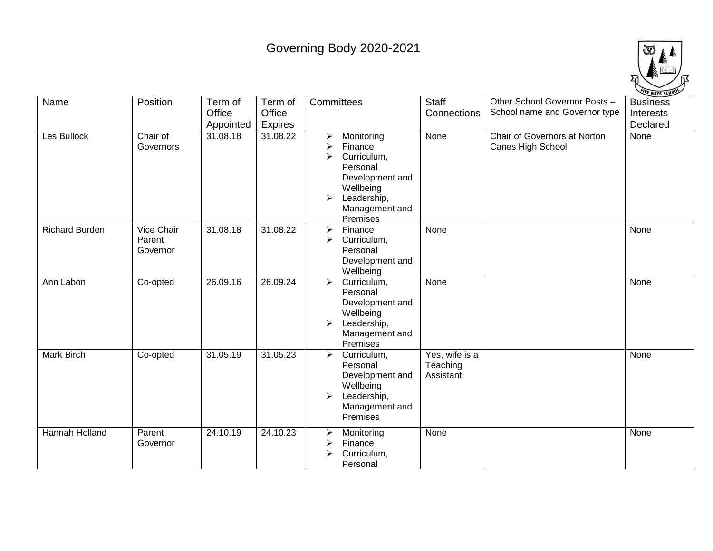## Governing Body 2020-2021



| Name                  | Position                         | Term of<br>Office<br>Appointed | Term of<br>Office<br><b>Expires</b> | Committees                                                                                                                                             | <b>Staff</b><br>Connections             | Other School Governor Posts -<br>School name and Governor type | <b>Business</b><br>Interests<br>Declared |
|-----------------------|----------------------------------|--------------------------------|-------------------------------------|--------------------------------------------------------------------------------------------------------------------------------------------------------|-----------------------------------------|----------------------------------------------------------------|------------------------------------------|
| Les Bullock           | Chair of<br>Governors            | 31.08.18                       | 31.08.22                            | Monitoring<br>➤<br>Finance<br>⋗<br>Curriculum,<br>≻<br>Personal<br>Development and<br>Wellbeing<br>Leadership,<br>➤<br>Management and<br>Premises      | None                                    | Chair of Governors at Norton<br>Canes High School              | None                                     |
| <b>Richard Burden</b> | Vice Chair<br>Parent<br>Governor | 31.08.18                       | 31.08.22                            | Finance<br>$\blacktriangleright$<br>Curriculum,<br>⋗<br>Personal<br>Development and<br>Wellbeing                                                       | None                                    |                                                                | None                                     |
| Ann Labon             | Co-opted                         | 26.09.16                       | 26.09.24                            | Curriculum,<br>$\blacktriangleright$<br>Personal<br>Development and<br>Wellbeing<br>Leadership,<br>$\blacktriangleright$<br>Management and<br>Premises | None                                    |                                                                | None                                     |
| Mark Birch            | Co-opted                         | 31.05.19                       | 31.05.23                            | Curriculum,<br>$\blacktriangleright$<br>Personal<br>Development and<br>Wellbeing<br>Leadership,<br>≻<br>Management and<br>Premises                     | Yes, wife is a<br>Teaching<br>Assistant |                                                                | None                                     |
| <b>Hannah Holland</b> | Parent<br>Governor               | 24.10.19                       | 24.10.23                            | Monitoring<br>➤<br>Finance<br>⋗<br>Curriculum,<br>↘<br>Personal                                                                                        | None                                    |                                                                | None                                     |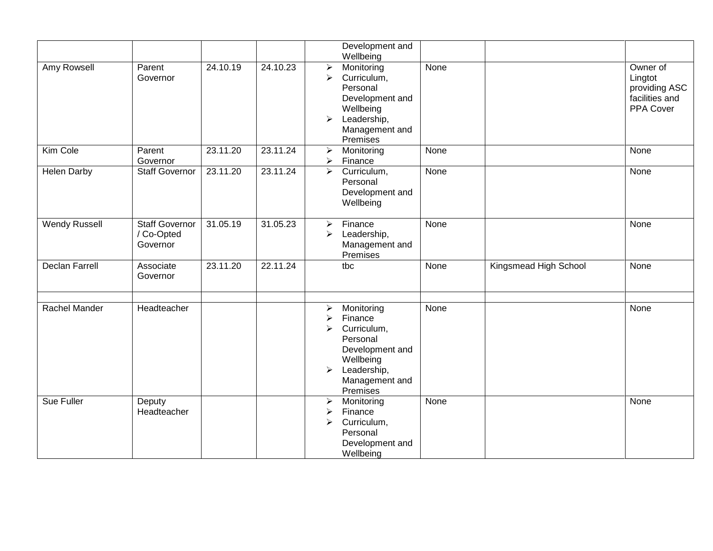|                       |                                                 |          |          |                                                                                                  | Development and<br>Wellbeing                                                                                                  |      |                       |                                                                     |
|-----------------------|-------------------------------------------------|----------|----------|--------------------------------------------------------------------------------------------------|-------------------------------------------------------------------------------------------------------------------------------|------|-----------------------|---------------------------------------------------------------------|
| Amy Rowsell           | Parent<br>Governor                              | 24.10.19 | 24.10.23 | $\blacktriangleright$<br>$\blacktriangleright$<br>$\blacktriangleright$                          | Monitoring<br>Curriculum,<br>Personal<br>Development and<br>Wellbeing<br>Leadership,<br>Management and<br>Premises            | None |                       | Owner of<br>Lingtot<br>providing ASC<br>facilities and<br>PPA Cover |
| Kim Cole              | Parent<br>Governor                              | 23.11.20 | 23.11.24 | $\blacktriangleright$<br>$\blacktriangleright$                                                   | Monitoring<br>Finance                                                                                                         | None |                       | None                                                                |
| <b>Helen Darby</b>    | <b>Staff Governor</b>                           | 23.11.20 | 23.11.24 | $\blacktriangleright$                                                                            | Curriculum,<br>Personal<br>Development and<br>Wellbeing                                                                       | None |                       | None                                                                |
| <b>Wendy Russell</b>  | <b>Staff Governor</b><br>/ Co-Opted<br>Governor | 31.05.19 | 31.05.23 | $\blacktriangleright$<br>➤                                                                       | Finance<br>Leadership,<br>Management and<br>Premises                                                                          | None |                       | None                                                                |
| <b>Declan Farrell</b> | Associate<br>Governor                           | 23.11.20 | 22.11.24 |                                                                                                  | tbc                                                                                                                           | None | Kingsmead High School | None                                                                |
| <b>Rachel Mander</b>  | Headteacher                                     |          |          | $\blacktriangleright$<br>$\blacktriangleright$<br>$\blacktriangleright$<br>$\blacktriangleright$ | Monitoring<br>Finance<br>Curriculum,<br>Personal<br>Development and<br>Wellbeing<br>Leadership,<br>Management and<br>Premises | None |                       | None                                                                |
| Sue Fuller            | Deputy<br>Headteacher                           |          |          | $\blacktriangleright$<br>$\blacktriangleright$<br>➤                                              | Monitoring<br>Finance<br>Curriculum,<br>Personal<br>Development and<br>Wellbeing                                              | None |                       | None                                                                |